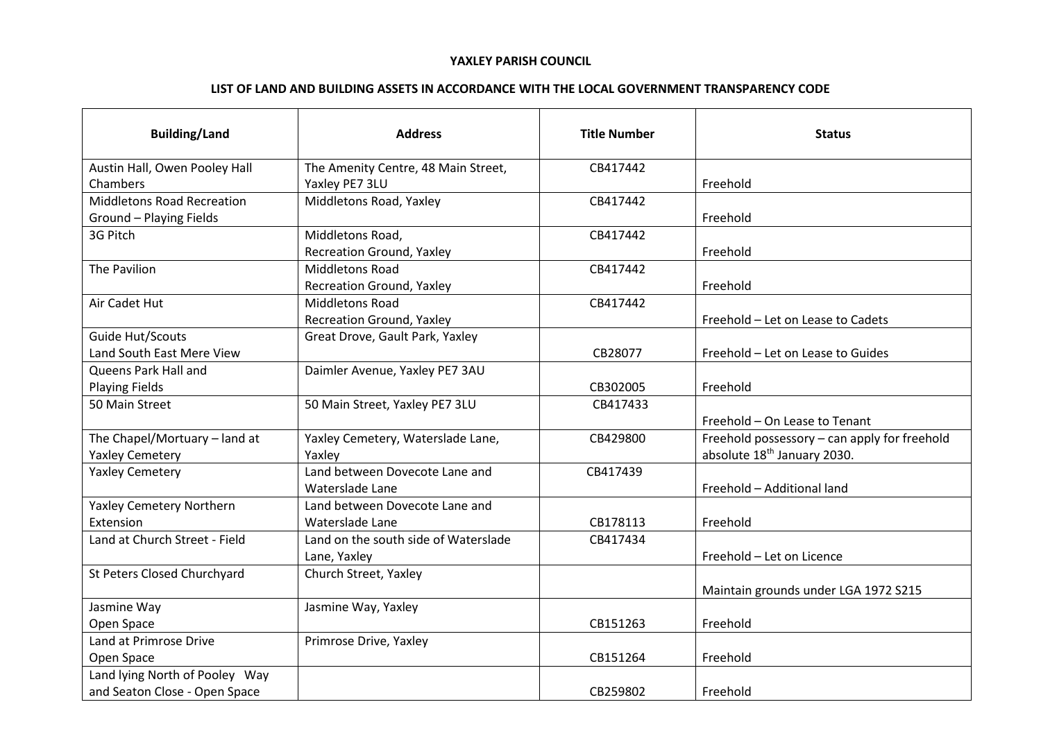## **YAXLEY PARISH COUNCIL**

## **LIST OF LAND AND BUILDING ASSETS IN ACCORDANCE WITH THE LOCAL GOVERNMENT TRANSPARENCY CODE**

| <b>Building/Land</b>              | <b>Address</b>                       | <b>Title Number</b> | <b>Status</b>                                |
|-----------------------------------|--------------------------------------|---------------------|----------------------------------------------|
| Austin Hall, Owen Pooley Hall     | The Amenity Centre, 48 Main Street,  | CB417442            |                                              |
| Chambers                          | Yaxley PE7 3LU                       |                     | Freehold                                     |
| <b>Middletons Road Recreation</b> | Middletons Road, Yaxley              | CB417442            |                                              |
| Ground - Playing Fields           |                                      |                     | Freehold                                     |
| 3G Pitch                          | Middletons Road,                     | CB417442            |                                              |
|                                   | <b>Recreation Ground, Yaxley</b>     |                     | Freehold                                     |
| The Pavilion                      | <b>Middletons Road</b>               | CB417442            |                                              |
|                                   | Recreation Ground, Yaxley            |                     | Freehold                                     |
| Air Cadet Hut                     | <b>Middletons Road</b>               | CB417442            |                                              |
|                                   | Recreation Ground, Yaxley            |                     | Freehold - Let on Lease to Cadets            |
| Guide Hut/Scouts                  | Great Drove, Gault Park, Yaxley      |                     |                                              |
| Land South East Mere View         |                                      | CB28077             | Freehold - Let on Lease to Guides            |
| Queens Park Hall and              | Daimler Avenue, Yaxley PE7 3AU       |                     |                                              |
| <b>Playing Fields</b>             |                                      | CB302005            | Freehold                                     |
| 50 Main Street                    | 50 Main Street, Yaxley PE7 3LU       | CB417433            |                                              |
|                                   |                                      |                     | Freehold - On Lease to Tenant                |
| The Chapel/Mortuary - land at     | Yaxley Cemetery, Waterslade Lane,    | CB429800            | Freehold possessory - can apply for freehold |
| <b>Yaxley Cemetery</b>            | Yaxley                               |                     | absolute 18 <sup>th</sup> January 2030.      |
| <b>Yaxley Cemetery</b>            | Land between Dovecote Lane and       | CB417439            |                                              |
|                                   | Waterslade Lane                      |                     | Freehold - Additional land                   |
| Yaxley Cemetery Northern          | Land between Dovecote Lane and       |                     |                                              |
| Extension                         | Waterslade Lane                      | CB178113            | Freehold                                     |
| Land at Church Street - Field     | Land on the south side of Waterslade | CB417434            |                                              |
|                                   | Lane, Yaxley                         |                     | Freehold - Let on Licence                    |
| St Peters Closed Churchyard       | Church Street, Yaxley                |                     |                                              |
|                                   |                                      |                     | Maintain grounds under LGA 1972 S215         |
| Jasmine Way                       | Jasmine Way, Yaxley                  |                     |                                              |
| Open Space                        |                                      | CB151263            | Freehold                                     |
| Land at Primrose Drive            | Primrose Drive, Yaxley               |                     |                                              |
| Open Space                        |                                      | CB151264            | Freehold                                     |
| Land lying North of Pooley Way    |                                      |                     |                                              |
| and Seaton Close - Open Space     |                                      | CB259802            | Freehold                                     |